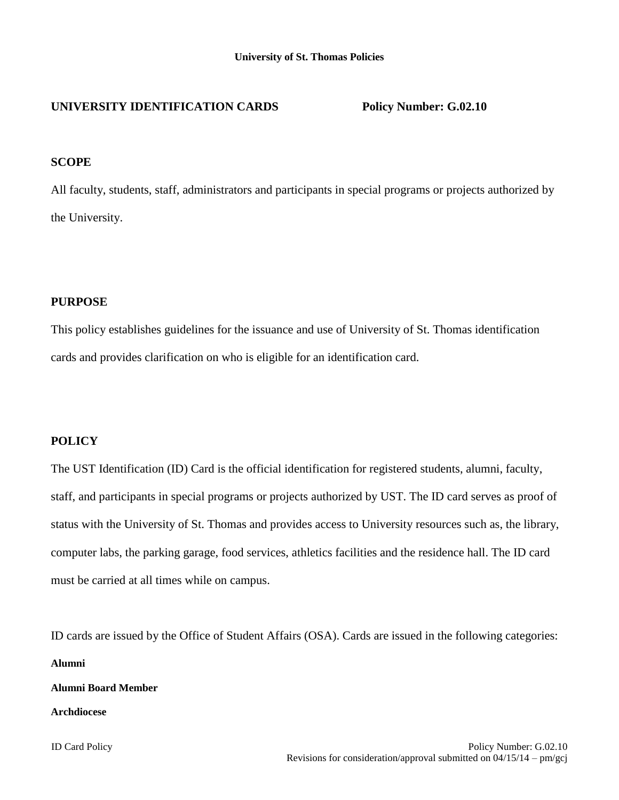# **UNIVERSITY IDENTIFICATION CARDS Policy Number: G.02.10**

### **SCOPE**

All faculty, students, staff, administrators and participants in special programs or projects authorized by the University.

## **PURPOSE**

This policy establishes guidelines for the issuance and use of University of St. Thomas identification cards and provides clarification on who is eligible for an identification card.

# **POLICY**

The UST Identification (ID) Card is the official identification for registered students, alumni, faculty, staff, and participants in special programs or projects authorized by UST. The ID card serves as proof of status with the University of St. Thomas and provides access to University resources such as, the library, computer labs, the parking garage, food services, athletics facilities and the residence hall. The ID card must be carried at all times while on campus.

ID cards are issued by the Office of Student Affairs (OSA). Cards are issued in the following categories: **Alumni**

**Alumni Board Member**

#### **Archdiocese**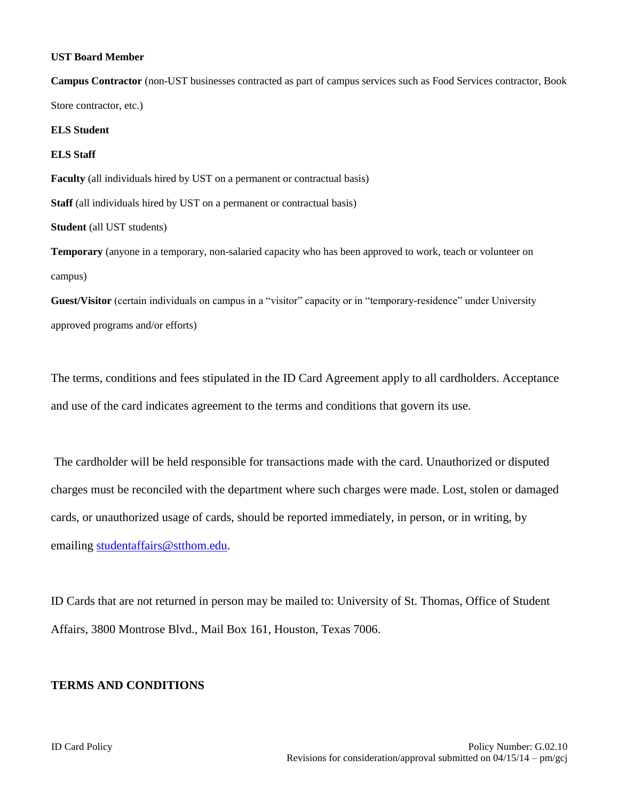#### **UST Board Member**

**Campus Contractor** (non-UST businesses contracted as part of campus services such as Food Services contractor, Book Store contractor, etc.)

### **ELS Student**

#### **ELS Staff**

**Faculty** (all individuals hired by UST on a permanent or contractual basis)

**Staff** (all individuals hired by UST on a permanent or contractual basis)

### **Student** (all UST students)

**Temporary** (anyone in a temporary, non-salaried capacity who has been approved to work, teach or volunteer on campus)

**Guest/Visitor** (certain individuals on campus in a "visitor" capacity or in "temporary-residence" under University approved programs and/or efforts)

The terms, conditions and fees stipulated in the ID Card Agreement apply to all cardholders. Acceptance and use of the card indicates agreement to the terms and conditions that govern its use.

The cardholder will be held responsible for transactions made with the card. Unauthorized or disputed charges must be reconciled with the department where such charges were made. Lost, stolen or damaged cards, or unauthorized usage of cards, should be reported immediately, in person, or in writing, by emailing [studentaffairs@stthom.edu.](mailto:studentaffairs@stthom.edu)

ID Cards that are not returned in person may be mailed to: University of St. Thomas, Office of Student Affairs, 3800 Montrose Blvd., Mail Box 161, Houston, Texas 7006.

#### **TERMS AND CONDITIONS**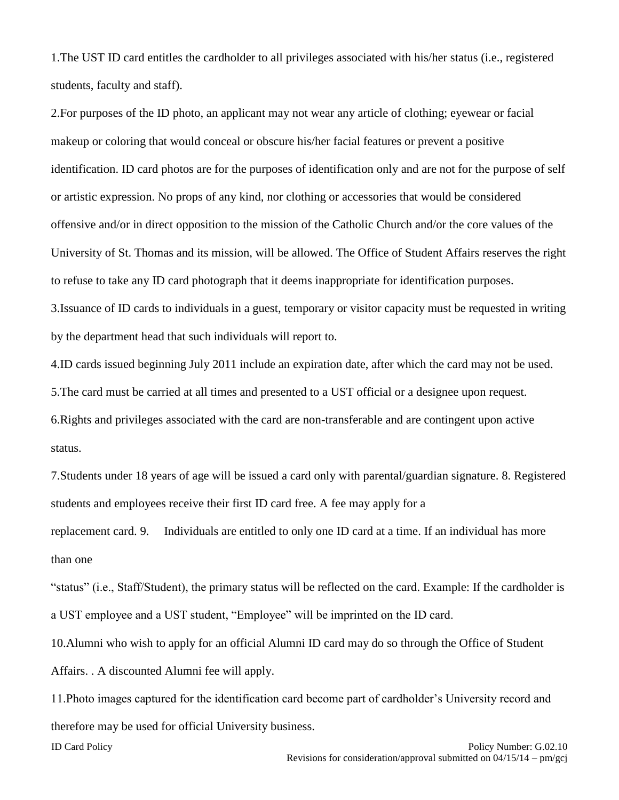1.The UST ID card entitles the cardholder to all privileges associated with his/her status (i.e., registered students, faculty and staff).

2.For purposes of the ID photo, an applicant may not wear any article of clothing; eyewear or facial makeup or coloring that would conceal or obscure his/her facial features or prevent a positive identification. ID card photos are for the purposes of identification only and are not for the purpose of self or artistic expression. No props of any kind, nor clothing or accessories that would be considered offensive and/or in direct opposition to the mission of the Catholic Church and/or the core values of the University of St. Thomas and its mission, will be allowed. The Office of Student Affairs reserves the right to refuse to take any ID card photograph that it deems inappropriate for identification purposes. 3.Issuance of ID cards to individuals in a guest, temporary or visitor capacity must be requested in writing by the department head that such individuals will report to.

4.ID cards issued beginning July 2011 include an expiration date, after which the card may not be used. 5.The card must be carried at all times and presented to a UST official or a designee upon request. 6.Rights and privileges associated with the card are non-transferable and are contingent upon active status.

7.Students under 18 years of age will be issued a card only with parental/guardian signature. 8. Registered students and employees receive their first ID card free. A fee may apply for a

replacement card. 9. Individuals are entitled to only one ID card at a time. If an individual has more than one

"status" (i.e., Staff/Student), the primary status will be reflected on the card. Example: If the cardholder is a UST employee and a UST student, "Employee" will be imprinted on the ID card.

10.Alumni who wish to apply for an official Alumni ID card may do so through the Office of Student Affairs. . A discounted Alumni fee will apply.

11.Photo images captured for the identification card become part of cardholder's University record and therefore may be used for official University business.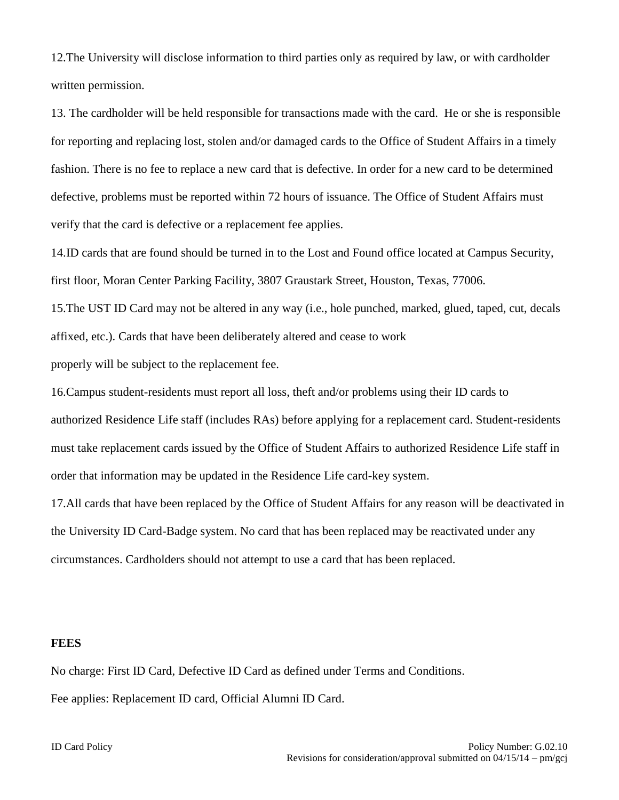12.The University will disclose information to third parties only as required by law, or with cardholder written permission.

13. The cardholder will be held responsible for transactions made with the card. He or she is responsible for reporting and replacing lost, stolen and/or damaged cards to the Office of Student Affairs in a timely fashion. There is no fee to replace a new card that is defective. In order for a new card to be determined defective, problems must be reported within 72 hours of issuance. The Office of Student Affairs must verify that the card is defective or a replacement fee applies.

14.ID cards that are found should be turned in to the Lost and Found office located at Campus Security, first floor, Moran Center Parking Facility, 3807 Graustark Street, Houston, Texas, 77006.

15.The UST ID Card may not be altered in any way (i.e., hole punched, marked, glued, taped, cut, decals affixed, etc.). Cards that have been deliberately altered and cease to work

properly will be subject to the replacement fee.

16.Campus student-residents must report all loss, theft and/or problems using their ID cards to authorized Residence Life staff (includes RAs) before applying for a replacement card. Student-residents must take replacement cards issued by the Office of Student Affairs to authorized Residence Life staff in order that information may be updated in the Residence Life card-key system.

17.All cards that have been replaced by the Office of Student Affairs for any reason will be deactivated in the University ID Card-Badge system. No card that has been replaced may be reactivated under any circumstances. Cardholders should not attempt to use a card that has been replaced.

#### **FEES**

No charge: First ID Card, Defective ID Card as defined under Terms and Conditions. Fee applies: Replacement ID card, Official Alumni ID Card.